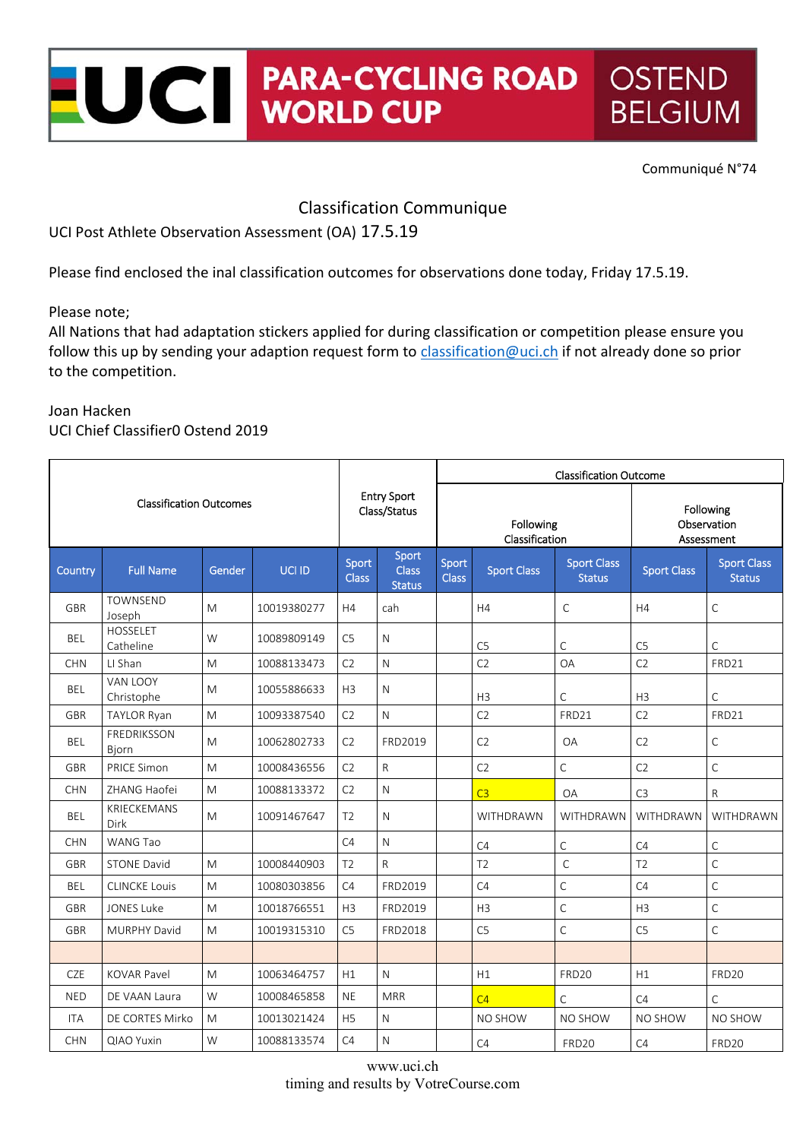#### **PARA-CYCLING ROAD OSTEND** UCI **PARA-CYCLII**<br>WORLD CUP **BELGIUM**

Communiqué N°74

### Classification Communique

UCI Post Athlete Observation Assessment (OA) 17.5.19

Please find enclosed the inal classification outcomes for observations done today, Friday 17.5.19.

Please note;

All Nations that had adaptation stickers applied for during classification or competition please ensure you follow this up by sending your adaption request form to classification@uci.ch if not already done so prior to the competition.

#### Joan Hacken UCI Chief Classifier0 Ostend 2019

| <b>Classification Outcomes</b> |                              |        |             | <b>Entry Sport</b><br>Class/Status |                                        | <b>Classification Outcome</b> |                    |                                     |                                        |                                     |  |
|--------------------------------|------------------------------|--------|-------------|------------------------------------|----------------------------------------|-------------------------------|--------------------|-------------------------------------|----------------------------------------|-------------------------------------|--|
|                                |                              |        |             |                                    |                                        | Following<br>Classification   |                    |                                     | Following<br>Observation<br>Assessment |                                     |  |
| Country                        | <b>Full Name</b>             | Gender | UCI ID      | Sport<br><b>Class</b>              | Sport<br><b>Class</b><br><b>Status</b> | Sport<br><b>Class</b>         | <b>Sport Class</b> | <b>Sport Class</b><br><b>Status</b> | <b>Sport Class</b>                     | <b>Sport Class</b><br><b>Status</b> |  |
| <b>GBR</b>                     | <b>TOWNSEND</b><br>Joseph    | M      | 10019380277 | H4                                 | cah                                    |                               | H4                 | $\mathsf{C}$                        | H4                                     | $\mathsf C$                         |  |
| BEL                            | <b>HOSSELET</b><br>Catheline | W      | 10089809149 | C <sub>5</sub>                     | N                                      |                               | C <sub>5</sub>     | C                                   | C <sub>5</sub>                         | $\mathsf{C}$                        |  |
| <b>CHN</b>                     | LI Shan                      | M      | 10088133473 | C <sub>2</sub>                     | $\mathsf{N}$                           |                               | C <sub>2</sub>     | <b>OA</b>                           | C <sub>2</sub>                         | FRD21                               |  |
| <b>BEL</b>                     | VAN LOOY<br>Christophe       | M      | 10055886633 | H <sub>3</sub>                     | $\mathsf{N}$                           |                               | H <sub>3</sub>     | $\mathsf{C}$                        | H <sub>3</sub>                         | $\mathsf C$                         |  |
| <b>GBR</b>                     | <b>TAYLOR Ryan</b>           | M      | 10093387540 | C <sub>2</sub>                     | $\mathsf{N}$                           |                               | C <sub>2</sub>     | FRD21                               | C <sub>2</sub>                         | FRD21                               |  |
| <b>BEL</b>                     | <b>FREDRIKSSON</b><br>Bjorn  | M      | 10062802733 | C <sub>2</sub>                     | FRD2019                                |                               | C <sub>2</sub>     | <b>OA</b>                           | C <sub>2</sub>                         | $\mathsf C$                         |  |
| <b>GBR</b>                     | <b>PRICE Simon</b>           | M      | 10008436556 | C <sub>2</sub>                     | $\mathsf{R}$                           |                               | C <sub>2</sub>     | C                                   | C <sub>2</sub>                         | $\mathsf C$                         |  |
| <b>CHN</b>                     | ZHANG Haofei                 | M      | 10088133372 | C <sub>2</sub>                     | $\mathsf{N}$                           |                               | C <sub>3</sub>     | <b>OA</b>                           | C <sub>3</sub>                         | ${\sf R}$                           |  |
| <b>BEL</b>                     | <b>KRIECKEMANS</b><br>Dirk   | M      | 10091467647 | T <sub>2</sub>                     | $\mathsf{N}$                           |                               | WITHDRAWN          | WITHDRAWN                           | WITHDRAWN                              | WITHDRAWN                           |  |
| <b>CHN</b>                     | <b>WANG Tao</b>              |        |             | C4                                 | $\mathsf{N}$                           |                               | C4                 | $\mathsf C$                         | C4                                     | $\mathsf C$                         |  |
| <b>GBR</b>                     | <b>STONE David</b>           | M      | 10008440903 | T <sub>2</sub>                     | $\mathsf{R}$                           |                               | T <sub>2</sub>     | $\mathsf C$                         | T <sub>2</sub>                         | $\mathsf C$                         |  |
| <b>BEL</b>                     | <b>CLINCKE Louis</b>         | M      | 10080303856 | C4                                 | FRD2019                                |                               | C4                 | C                                   | C4                                     | $\mathsf C$                         |  |
| <b>GBR</b>                     | <b>JONES Luke</b>            | M      | 10018766551 | H <sub>3</sub>                     | FRD2019                                |                               | H <sub>3</sub>     | $\mathsf{C}$                        | H <sub>3</sub>                         | $\mathsf C$                         |  |
| <b>GBR</b>                     | <b>MURPHY David</b>          | M      | 10019315310 | C5                                 | FRD2018                                |                               | C <sub>5</sub>     | C                                   | C <sub>5</sub>                         | $\mathsf C$                         |  |
|                                |                              |        |             |                                    |                                        |                               |                    |                                     |                                        |                                     |  |
| CZE                            | <b>KOVAR Pavel</b>           | M      | 10063464757 | H1                                 | $\mathsf{N}$                           |                               | H1                 | <b>FRD20</b>                        | H1                                     | FRD <sub>20</sub>                   |  |
| <b>NED</b>                     | DE VAAN Laura                | W      | 10008465858 | <b>NE</b>                          | <b>MRR</b>                             |                               | C <sub>4</sub>     | C                                   | C4                                     | $\mathsf{C}$                        |  |
| <b>ITA</b>                     | DE CORTES Mirko              | M      | 10013021424 | H <sub>5</sub>                     | $\mathsf{N}$                           |                               | NO SHOW            | NO SHOW                             | <b>NO SHOW</b>                         | NO SHOW                             |  |
| <b>CHN</b>                     | <b>QIAO Yuxin</b>            | W      | 10088133574 | C4                                 | $\mathsf{N}$                           |                               | C4                 | FRD20                               | C4                                     | FRD20                               |  |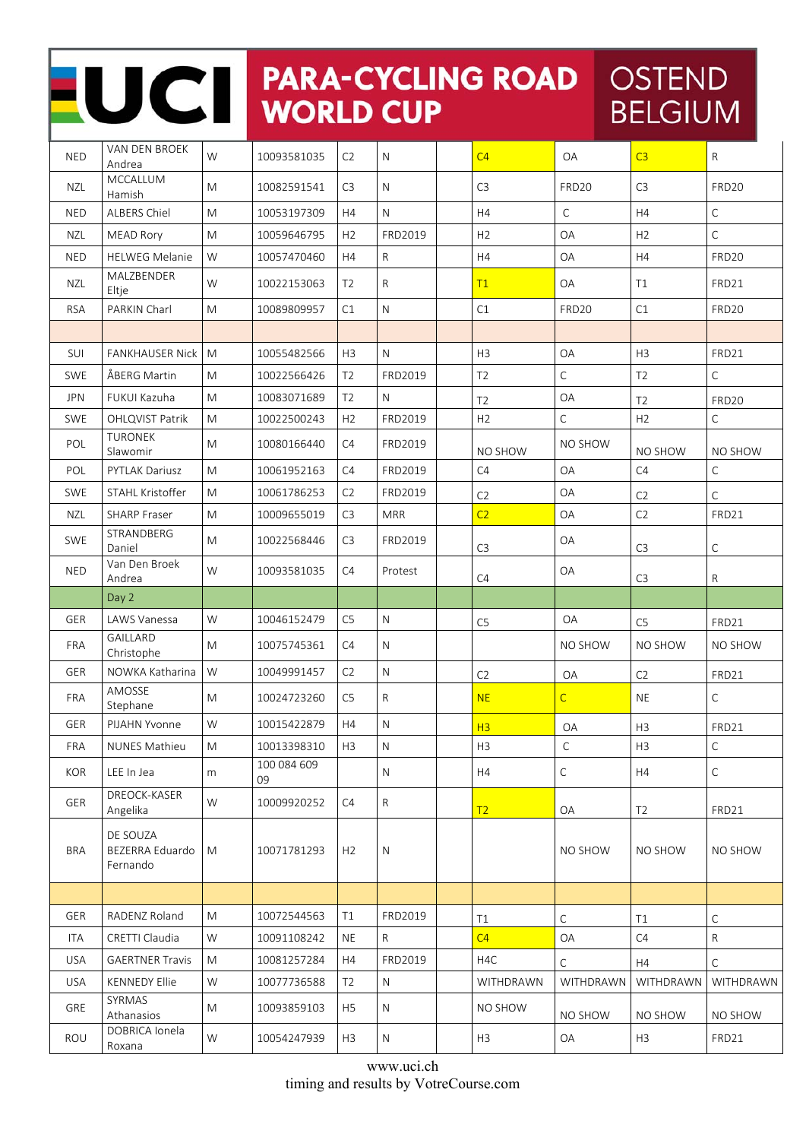## NO CHARA-CYCLING ROAD OSTEND **BELGIUM**

| <b>NED</b> | VAN DEN BROEK<br>Andrea                 | W                                                                                                          | 10093581035       | C2             | $\mathsf{N}$ | C <sub>4</sub> | OA             | C <sub>3</sub> | $\mathsf{R}$      |
|------------|-----------------------------------------|------------------------------------------------------------------------------------------------------------|-------------------|----------------|--------------|----------------|----------------|----------------|-------------------|
| <b>NZL</b> | MCCALLUM<br>Hamish                      | M                                                                                                          | 10082591541       | C <sub>3</sub> | $\mathsf{N}$ | C <sub>3</sub> | FRD20          | C <sub>3</sub> | <b>FRD20</b>      |
| <b>NED</b> | <b>ALBERS Chiel</b>                     | $\mathsf{M}% _{T}=\mathsf{M}_{T}\!\left( a,b\right) ,\ \mathsf{M}_{T}=\mathsf{M}_{T}\!\left( a,b\right) ,$ | 10053197309       | H4             | $\mathsf{N}$ | H4             | $\mathsf C$    | H4             | $\mathsf{C}$      |
| <b>NZL</b> | <b>MEAD Rory</b>                        | M                                                                                                          | 10059646795       | H <sub>2</sub> | FRD2019      | H <sub>2</sub> | <b>OA</b>      | H <sub>2</sub> | $\mathsf C$       |
| <b>NED</b> | <b>HELWEG Melanie</b>                   | W                                                                                                          | 10057470460       | H4             | $\mathsf{R}$ | H4             | OA             | H4             | FRD20             |
| <b>NZL</b> | MALZBENDER<br>Eltje                     | W                                                                                                          | 10022153063       | T <sub>2</sub> | $\mathsf{R}$ | T1             | OA             | T1             | FRD21             |
| <b>RSA</b> | PARKIN Charl                            | ${\sf M}$                                                                                                  | 10089809957       | C1             | ${\sf N}$    | C1             | <b>FRD20</b>   | C1             | FRD <sub>20</sub> |
|            |                                         |                                                                                                            |                   |                |              |                |                |                |                   |
| SUI        | <b>FANKHAUSER Nick</b>                  | M                                                                                                          | 10055482566       | H <sub>3</sub> | $\mathsf{N}$ | H <sub>3</sub> | OA             | H <sub>3</sub> | FRD21             |
| <b>SWE</b> | ÅBERG Martin                            | M                                                                                                          | 10022566426       | T <sub>2</sub> | FRD2019      | T <sub>2</sub> | $\mathsf{C}$   | T <sub>2</sub> | $\mathsf C$       |
| <b>JPN</b> | FUKUI Kazuha                            | M                                                                                                          | 10083071689       | T <sub>2</sub> | N            | T <sub>2</sub> | OA             | T <sub>2</sub> | FRD20             |
| <b>SWE</b> | OHLQVIST Patrik                         | ${\sf M}$                                                                                                  | 10022500243       | H2             | FRD2019      | H <sub>2</sub> | $\mathsf C$    | H2             | $\mathsf C$       |
| POL        | <b>TURONEK</b><br>Slawomir              | M                                                                                                          | 10080166440       | C4             | FRD2019      | NO SHOW        | NO SHOW        | NO SHOW        | NO SHOW           |
| POL        | <b>PYTLAK Dariusz</b>                   | M                                                                                                          | 10061952163       | C4             | FRD2019      | C4             | <b>OA</b>      | C4             | C                 |
| <b>SWE</b> | STAHL Kristoffer                        | M                                                                                                          | 10061786253       | C <sub>2</sub> | FRD2019      | C2             | OA             | C2             | C                 |
| NZL        | <b>SHARP Fraser</b>                     | ${\sf M}$                                                                                                  | 10009655019       | C <sub>3</sub> | <b>MRR</b>   | C <sub>2</sub> | OA             | C <sub>2</sub> | FRD21             |
| <b>SWE</b> | STRANDBERG<br>Daniel                    | M                                                                                                          | 10022568446       | C <sub>3</sub> | FRD2019      | C <sub>3</sub> | OA             | C <sub>3</sub> | С                 |
| <b>NED</b> | Van Den Broek<br>Andrea                 | W                                                                                                          | 10093581035       | C4             | Protest      | C4             | OA             | C <sub>3</sub> | R                 |
|            | Day 2                                   |                                                                                                            |                   |                |              |                |                |                |                   |
| GER        | LAWS Vanessa                            | W                                                                                                          | 10046152479       | C <sub>5</sub> | $\mathsf{N}$ | C <sub>5</sub> | OA             | C <sub>5</sub> | FRD21             |
| FRA        | GAILLARD<br>Christophe                  | M                                                                                                          | 10075745361       | C4             | $\mathsf{N}$ |                | NO SHOW        | NO SHOW        | NO SHOW           |
| <b>GER</b> | NOWKA Katharina                         | W                                                                                                          | 10049991457       | C2             | $\mathsf{N}$ | C <sub>2</sub> | OA             | C2             | FRD21             |
| <b>FRA</b> | AMOSSE<br>Stephane                      | M                                                                                                          | 10024723260       | C5             | $\mathsf{R}$ | <b>NE</b>      | $\overline{C}$ | <b>NE</b>      | $\mathsf C$       |
| <b>GER</b> | PIJAHN Yvonne                           | W                                                                                                          | 10015422879       | H4             | ${\sf N}$    | H3             | OA             | H <sub>3</sub> | FRD21             |
| FRA        | NUNES Mathieu                           | ${\sf M}$                                                                                                  | 10013398310       | H <sub>3</sub> | ${\sf N}$    | H3             | $\mathsf C$    | H3             | $\mathsf C$       |
| <b>KOR</b> | LEE In Jea                              | m                                                                                                          | 100 084 609<br>09 |                | N            | H4             | C              | H4             | $\mathsf{C}$      |
| GER        | DREOCK-KASER<br>Angelika                | W                                                                                                          | 10009920252       | C4             | $\mathsf{R}$ | T2             | OA             | T <sub>2</sub> | FRD21             |
| <b>BRA</b> | DE SOUZA<br>BEZERRA Eduardo<br>Fernando | M                                                                                                          | 10071781293       | H <sub>2</sub> | N            |                | NO SHOW        | NO SHOW        | NO SHOW           |
|            |                                         |                                                                                                            |                   |                |              |                |                |                |                   |
| GER        | RADENZ Roland                           | ${\sf M}$                                                                                                  | 10072544563       | T1             | FRD2019      | T1             | С              | T1             | С                 |
| ITA        | CRETTI Claudia                          | W                                                                                                          | 10091108242       | <b>NE</b>      | R            | C4             | OA             | C4             | $\mathsf{R}$      |
| <b>USA</b> | <b>GAERTNER Travis</b>                  | M                                                                                                          | 10081257284       | H <sub>4</sub> | FRD2019      | H4C            | C              | H4             | C                 |
| <b>USA</b> | <b>KENNEDY Ellie</b>                    | W                                                                                                          | 10077736588       | T <sub>2</sub> | $\mathsf{N}$ | WITHDRAWN      | WITHDRAWN      | WITHDRAWN      | WITHDRAWN         |
| GRE        | SYRMAS<br>Athanasios                    | M                                                                                                          | 10093859103       | H <sub>5</sub> | N            | NO SHOW        | NO SHOW        | NO SHOW        | NO SHOW           |
| ROU        | DOBRICA Ionela<br>Roxana                | W                                                                                                          | 10054247939       | H3             | N            | H3             | OA             | H3             | FRD21             |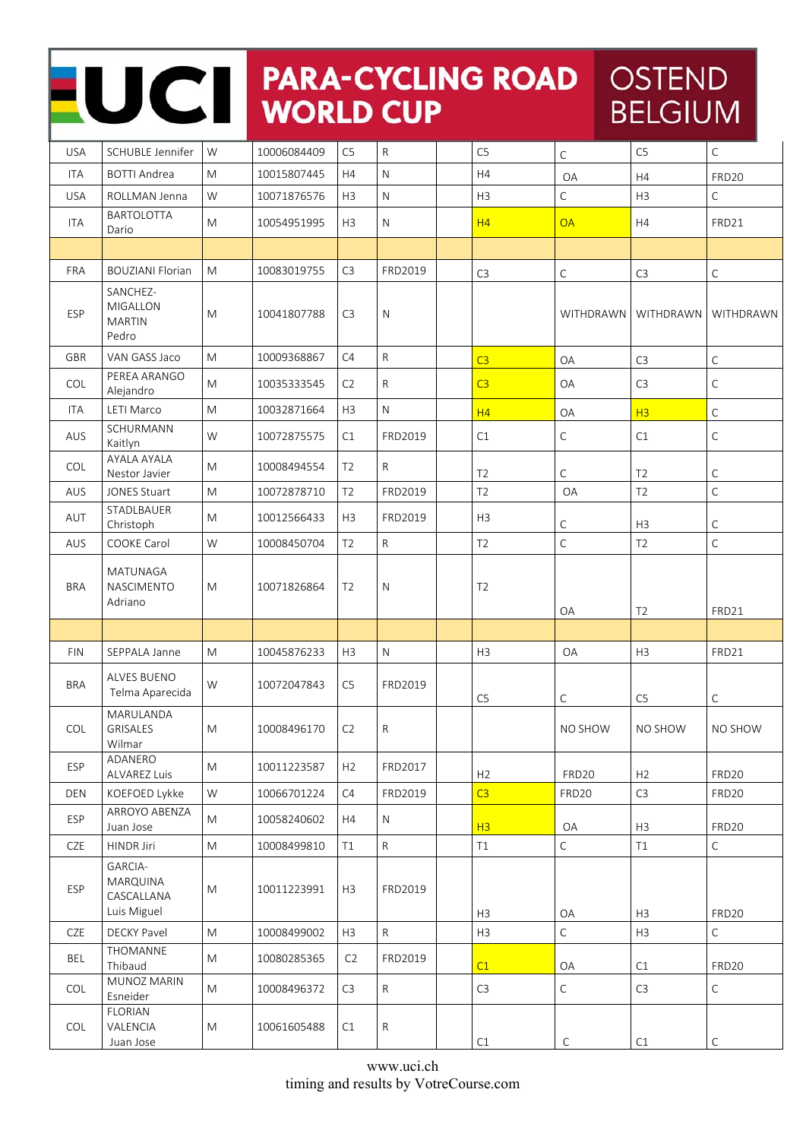## NOCI PARA-CYCLING ROAD OSTEND **BELGIUM**

| <b>USA</b> | SCHUBLE Jennifer                                        | W         | 10006084409 | C <sub>5</sub> | $\mathsf{R}$ | C <sub>5</sub> | C              | C <sub>5</sub> | $\mathsf C$  |
|------------|---------------------------------------------------------|-----------|-------------|----------------|--------------|----------------|----------------|----------------|--------------|
| <b>ITA</b> | <b>BOTTI Andrea</b>                                     | M         | 10015807445 | H4             | $\mathsf{N}$ | H4             | OA             | H4             | FRD20        |
| <b>USA</b> | ROLLMAN Jenna                                           | W         | 10071876576 | H <sub>3</sub> | $\mathsf{N}$ | H <sub>3</sub> | C              | H3             | $\mathsf C$  |
| <b>ITA</b> | <b>BARTOLOTTA</b><br>Dario                              | M         | 10054951995 | H3             | $\mathsf{N}$ | H4             | <b>OA</b>      | H4             | FRD21        |
|            |                                                         |           |             |                |              |                |                |                |              |
| FRA        | <b>BOUZIANI Florian</b>                                 | M         | 10083019755 | C <sub>3</sub> | FRD2019      | C <sub>3</sub> | $\mathsf C$    | C <sub>3</sub> | $\mathsf C$  |
| ESP        | SANCHEZ-<br>MIGALLON<br><b>MARTIN</b><br>Pedro          | M         | 10041807788 | C <sub>3</sub> | $\mathsf{N}$ |                | WITHDRAWN      | WITHDRAWN      | WITHDRAWN    |
| GBR        | VAN GASS Jaco                                           | M         | 10009368867 | C4             | $\mathsf{R}$ | C <sub>3</sub> | OA             | C <sub>3</sub> | $\mathsf C$  |
| COL        | PEREA ARANGO<br>Alejandro                               | M         | 10035333545 | C2             | $\mathsf{R}$ | C <sub>3</sub> | OA             | C <sub>3</sub> | $\mathsf C$  |
| ITA        | <b>LETI Marco</b>                                       | ${\sf M}$ | 10032871664 | H3             | ${\sf N}$    | H4             | OA             | H <sub>3</sub> | $\mathsf C$  |
| AUS        | SCHURMANN<br>Kaitlyn                                    | W         | 10072875575 | C1             | FRD2019      | C1             | С              | C1             | $\mathsf C$  |
| <b>COL</b> | AYALA AYALA<br>Nestor Javier                            | M         | 10008494554 | T <sub>2</sub> | $\mathsf{R}$ | T <sub>2</sub> | С              | T <sub>2</sub> | C            |
| AUS        | <b>JONES Stuart</b>                                     | ${\sf M}$ | 10072878710 | T <sub>2</sub> | FRD2019      | T <sub>2</sub> | OA             | T <sub>2</sub> | $\mathsf C$  |
| AUT        | STADLBAUER<br>Christoph                                 | M         | 10012566433 | H3             | FRD2019      | H <sub>3</sub> | С              | H <sub>3</sub> | $\mathsf C$  |
| AUS        | COOKE Carol                                             | W         | 10008450704 | T <sub>2</sub> | $\mathsf{R}$ | T <sub>2</sub> | $\mathsf C$    | T <sub>2</sub> | $\mathsf C$  |
| <b>BRA</b> | MATUNAGA<br><b>NASCIMENTO</b><br>Adriano                | M         | 10071826864 | T <sub>2</sub> | $\mathsf{N}$ | T <sub>2</sub> | OA             | T <sub>2</sub> | FRD21        |
|            |                                                         |           |             |                |              |                |                |                |              |
| <b>FIN</b> | SEPPALA Janne                                           | M         | 10045876233 | H3             | $\mathsf{N}$ | H3             | OA             | H3             | FRD21        |
| <b>BRA</b> | <b>ALVES BUENO</b><br>Telma Aparecida                   | W         | 10072047843 | C <sub>5</sub> | FRD2019      | C <sub>5</sub> | C              | C <sub>5</sub> | C            |
| COL        | MARULANDA<br><b>GRISALES</b><br>Wilmar                  | M         | 10008496170 | C2             | ${\sf R}$    |                | NO SHOW        | <b>NO SHOW</b> | NO SHOW      |
| <b>ESP</b> | ADANERO<br>ALVAREZ Luis                                 | M         | 10011223587 | H2             | FRD2017      | H <sub>2</sub> | FRD20          | H2             | FRD20        |
| <b>DEN</b> | KOEFOED Lykke                                           | W         | 10066701224 | C4             | FRD2019      | C <sub>3</sub> | FRD20          | C <sub>3</sub> | FRD20        |
| ESP        | ARROYO ABENZA<br>Juan Jose                              | M         | 10058240602 | H4             | $\mathsf{N}$ | H3             | OA             | H <sub>3</sub> | FRD20        |
| CZE        | HINDR Jiri                                              | M         | 10008499810 | T1             | ${\sf R}$    | T1             | $\mathsf{C}$   | T1             | $\mathsf C$  |
| ESP        | GARCIA-<br><b>MARQUINA</b><br>CASCALLANA<br>Luis Miguel | M         | 10011223991 | H3             | FRD2019      | H <sub>3</sub> | OA             | H <sub>3</sub> | <b>FRD20</b> |
| CZE        | DECKY Pavel                                             | ${\sf M}$ | 10008499002 | H3             | ${\sf R}$    | H3             | $\overline{C}$ | H3             | $\mathsf C$  |
| <b>BEL</b> | THOMANNE<br>Thibaud                                     | M         | 10080285365 | C <sub>2</sub> | FRD2019      | C1             | OA             | C1             | FRD20        |
| COL        | MUNOZ MARIN<br>Esneider                                 | M         | 10008496372 | C3             | ${\sf R}$    | C <sub>3</sub> | С              | C3             | $\mathsf C$  |
| COL        | <b>FLORIAN</b><br>VALENCIA<br>Juan Jose                 | M         | 10061605488 | C1             | ${\sf R}$    | C1             | C              | C1             | С            |